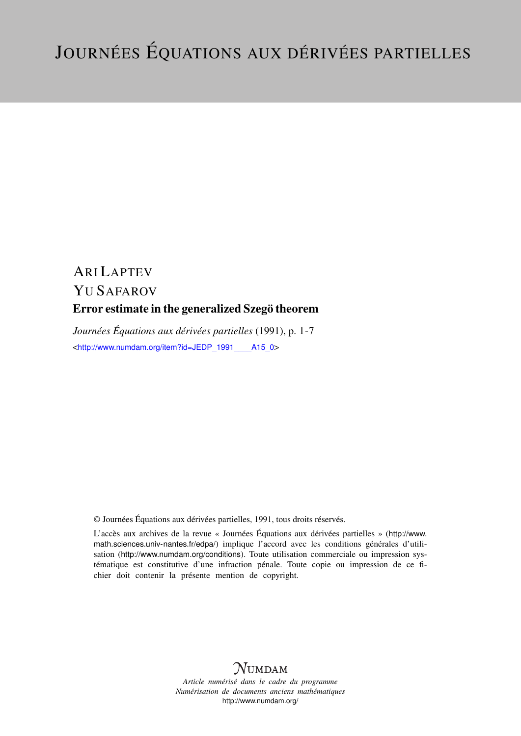## ARI LAPTEV YU SAFAROV Error estimate in the generalized Szegö theorem

*Journées Équations aux dérivées partielles* (1991), p. 1-7 <[http://www.numdam.org/item?id=JEDP\\_1991\\_\\_\\_\\_A15\\_0](http://www.numdam.org/item?id=JEDP_1991____A15_0)>

© Journées Équations aux dérivées partielles, 1991, tous droits réservés.

L'accès aux archives de la revue « Journées Équations aux dérivées partielles » ([http://www.](http://www.math.sciences.univ-nantes.fr/edpa/) [math.sciences.univ-nantes.fr/edpa/](http://www.math.sciences.univ-nantes.fr/edpa/)) implique l'accord avec les conditions générales d'utilisation (<http://www.numdam.org/conditions>). Toute utilisation commerciale ou impression systématique est constitutive d'une infraction pénale. Toute copie ou impression de ce fichier doit contenir la présente mention de copyright.



*Article numérisé dans le cadre du programme Numérisation de documents anciens mathématiques* <http://www.numdam.org/>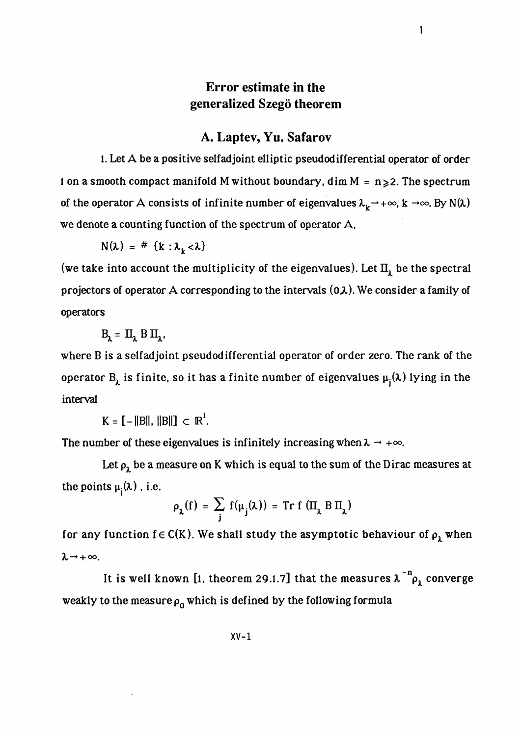## **Error estimate in the generalized Szego theorem**

 $\mathbf{1}$ 

## **A. Laptev, Yu. Safarov**

1. Let A be a positive selfad joint elliptic pseudodifferential operator of order 1 on a smooth compact manifold M without boundary, dim  $M = n \ge 2$ . The spectrum of the operator A consists of infinite number of eigenvalues  $\lambda_k \rightarrow +\infty$ , k  $\rightarrow \infty$ . By N( $\lambda$ ) we denote a counting function of the spectrum of operator A,

$$
N(\lambda) = # \{k : \lambda_k < \lambda\}
$$

(we take into account the multiplicity of the eigenvalues). Let  $\Pi_{\lambda}$  be the spectral projectors of operator A corresponding to the intervals  $(0,\lambda)$ . We consider a family of operators

$$
\mathbf{B}_{\lambda} = \mathbf{\Pi}_{\lambda} \mathbf{B} \mathbf{\Pi}_{\lambda},
$$

where B is a selfadjoint pseudodifferential operator of order zero. The rank of the operator  $B_\lambda$  is finite, so it has a finite number of eigenvalues  $\mu_i(\lambda)$  lying in the interval

 $K = [-\|B\|, \|\|B\|] \subset \mathbb{R}^1$ .

The number of these eigenvalues is infinitely increasing when  $\lambda \rightarrow +\infty$ .

Let  $\rho_1$  be a measure on K which is equal to the sum of the Dirac measures at the points  $\mu_i(\lambda)$ , i.e.

$$
\rho_{\lambda}(f) = \sum_{j} f(\mu_{j}(\lambda)) = \text{Tr } f(\Pi_{\lambda} B \Pi_{\lambda})
$$

for any function  $f \in C(K)$ . We shall study the asymptotic behaviour of  $\rho_{\lambda}$  when  $\lambda \rightarrow +\infty$ .

It is well known [1, theorem 29.1.7] that the measures  $\lambda^{-n} \rho_{\lambda}$  converge weakly to the measure  $\rho_0$  which is defined by the following formula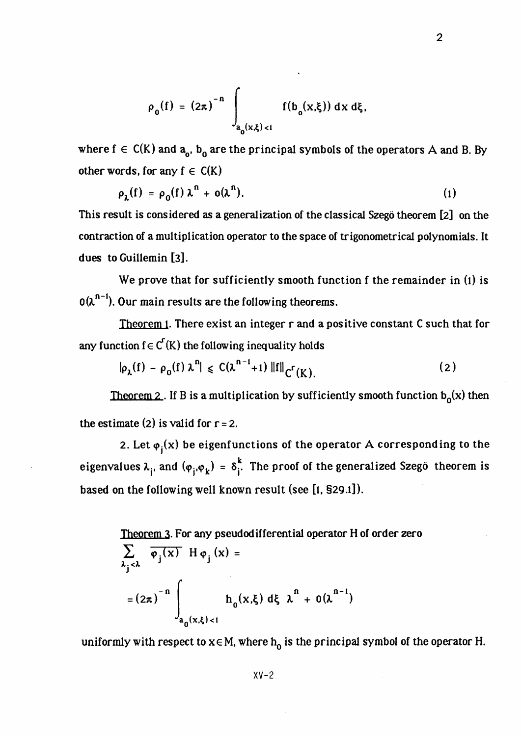$$
\rho_0(f) = (2\pi)^{-n} \int_{a_0(x,\xi) < 1} f(b_0(x,\xi)) \, dx \, d\xi,
$$

where  $f \in C(K)$  and  $a_{0}$ ,  $b_{0}$  are the principal symbols of the operators A and B. By other words, for any  $f \in C(K)$ 

$$
\rho_{\lambda}(f) = \rho_0(f) \lambda^n + o(\lambda^n). \tag{1}
$$

This result is considered as a generalization of the classical Szego theorem [2] on the contraction of a multiplication operator to the space of trigonometrical polynomials. It dues toGuillemin [3].

We prove that for sufficiently smooth function f the remainder in (1) is  $O(\lambda^{n-1})$ . Our main results are the following theorems.

Theorem 1. There exist an integer r and a positive constant C such that for any function  $f \in C^{r}(K)$  the following inequality holds

$$
|\rho_{\lambda}(f) - \rho_0(f) \lambda^n| \leq C(\lambda^{n-1} + 1) \|f\|_{C^{r}(K)}.
$$
 (2)

Theorem 2. If B is a multiplication by sufficiently smooth function  $b_0(x)$  then the estimate  $(2)$  is valid for  $r = 2$ .

2. Let  $\varphi_i(x)$  be eigenfunctions of the operator A corresponding to the eigenvalues  $\lambda_{i}$ , and  $(\varphi_{i}, \varphi_{k}) = \delta_{i}^{k}$ . The proof of the generalized Szegö theorem is based on the following well known result (see [l, §29.1]).

Theorem 3. For any pseudodifferential operator H of order zero  $\sum$   $\overline{\varphi_i(x)}$  H $\varphi_i(x)$  =  $\sum_{\lambda_1 < \lambda}$   $\binom{x}{\lambda}$   $\cdots$   $\cdots$   $\binom{x}{\lambda}$ *M*  $= (2\pi)^{-n}$   $h_o(x,\xi) d\xi \lambda^n + o(\lambda^{n-1})$  $\int_{a_0(x,\xi)$ 

uniformly with respect to  $x \in M$ , where  $h_0$  is the principal symbol of the operator H.

2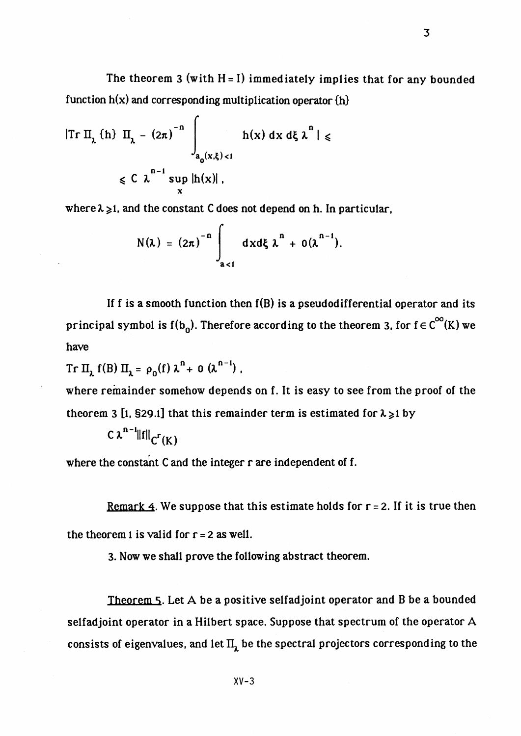The theorem 3 (with  $H = I$ ) immediately implies that for any bounded function  $h(x)$  and corresponding multiplication operator  $\{h\}$ 

$$
|\text{Tr }\Pi_{\lambda} \text{ }\{h\} \text{ }\Pi_{\lambda} - (2\pi)^{-n} \int_{a_0(x,\xi) < 1} h(x) \text{ } dx \text{ } d\xi \text{ } \lambda^n \text{ } | \leq \lambda
$$
\n
$$
\leq C \text{ } \lambda^{n-1} \sup_{x} |h(x)|,
$$

where  $\lambda \geq 1$ , and the constant C does not depend on h. In particular,

$$
N(\lambda) = (2\pi)^{-n} \int_{a < 1} dx d\xi \lambda^{n} + o(\lambda^{n-1}).
$$

If f is a smooth function then  $f(B)$  is a pseudodifferential operator and its principal symbol is  $f(b_0)$ . Therefore according to the theorem 3, for  $f \in C^\infty(K)$  we have

 $\text{Tr} \ \Pi_{\lambda} f(B) \ \Pi_{\lambda} = \rho_0(f) \ \lambda^{n} + o \ (\lambda^{n-1})$ ,

where remainder somehow depends on f. It is easy to see from the proof of the theorem 3 [1, §29.1] that this remainder term is estimated for  $\lambda \ge 1$  by

 $C \lambda^{n-1} ||f||_{C^{r}(K)}$ 

where the constant C and the integer r are independent of f.

Remark 4. We suppose that this estimate holds for  $r = 2$ . If it is true then the theorem 1 is valid for  $r = 2$  as well.

3. Now we shall prove the following abstract theorem.

XV-3

Theorem 5. Let A be a positive selfadjoint operator and B be a bounded selfadjoint operator in a Hilbert space. Suppose that spectrum of the operator A consists of eigenvalues, and let  $II<sub>1</sub>$  be the spectral projectors corresponding to the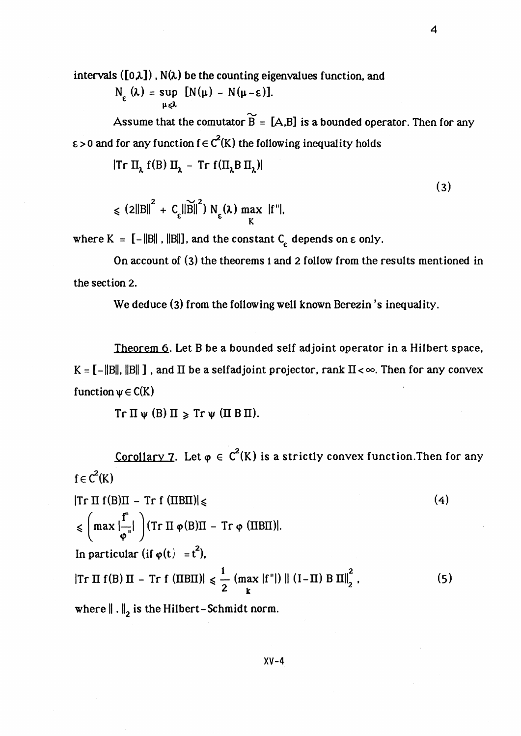intervals ( $[0,\lambda]$ ), N( $\lambda$ ) be the counting eigenvalues function, and

$$
N_{\varepsilon}(\lambda) = \sup_{\mu \leq \lambda} [N(\mu) - N(\mu - \varepsilon)].
$$

Assume that the comutator  $\widetilde{B} = [A, B]$  is a bounded operator. Then for any  $\epsilon > 0$  and for any function  $f \in C^2(K)$  the following inequality holds

 $|Tr \Pi_{\lambda} f(B) \Pi_{\lambda} - Tr f(\Pi_{\lambda}B \Pi_{\lambda})|$ 

 $\leq$ 

$$
(2||B||2 + Cε||\widetilde{B}||2) Nε(\lambda) max |f''|,
$$
\n(3)

where  $K = [-||B||, ||B||]$ , and the constant  $C_{\epsilon}$  depends on  $\epsilon$  only.

On account of (3) the theorems 1 and 2 follow from the results mentioned in the section 2.

We deduce (3) from the following well known Berezin 's inequality.

Theorem 6. Let B be a bounded self adjoint operator in a Hilbert space,  $K = [-||B||, ||B||]$ , and  $\Pi$  be a selfad joint projector, rank  $\Pi < \infty$ . Then for any convex function  $\psi \in C(K)$ 

 $Tr \Pi \psi$  (B)  $\Pi \geqslant Tr \psi$  ( $\Pi$  B  $\Pi$ ).

Corollary 7. Let  $\varphi \in C^2(K)$  is a strictly convex function. Then for any  $f \in C^2(K)$ 

$$
|\text{Tr } \Pi f(B)\Pi - \text{Tr } f(\Pi B\Pi)| \le
$$
\n
$$
\le \left(\max \left|\frac{f''}{\varphi''}\right|\right) (\text{Tr } \Pi \varphi(B)\Pi - \text{Tr } \varphi(\Pi B\Pi)).
$$
\nIn particular (if  $\varphi(t) = t^2$ ),\n
$$
|\text{Tr } \Pi f(B) \Pi - \text{Tr } f(\Pi B\Pi)| \le \frac{1}{2} \left(\max |f''|\right) || (I - \Pi) B \Pi||_2^2,
$$
\nwhere  $|| \cdot ||_2$  is the Hilbert-Schmidt norm. (5)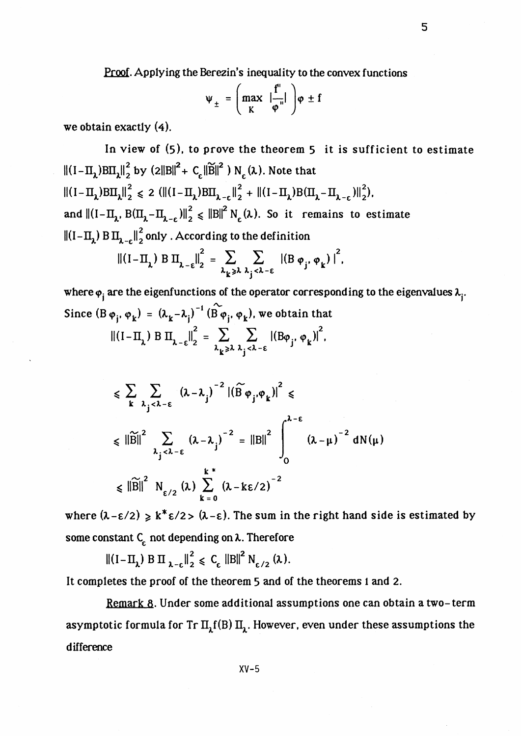Proof. Applying the Berezin's inequality to the convex functions

$$
\Psi_{\pm} = \left( \max_{K} \left| \frac{f''}{\varphi''} \right| \right) \varphi \pm f
$$

we obtain exactly (4).

In view of (5), to prove the theorem 5 it is sufficient to estimate  $||(I-\Pi_1)B\Pi_1||_2^2$  by  $(2||B||^2 + C_1||\widetilde{B}||^2) N_2(\lambda)$ . Note that  $||(I-\Pi_1)B\Pi_1||_2^2 \le 2 (||(I-\Pi_1)B\Pi_1-\||_2^2 + ||(I-\Pi_1)B(\Pi_1-\Pi_1-\||_2^2)).$ and  $||(I-\Pi_1, B(\Pi_1-\Pi_{1,\epsilon})||_2^2 \le ||B||^2 N_c(\lambda)$ . So it remains to estimate  $||(I - II_1) B II_2||_2^2$  only . According to the definition

$$
\| (I - \Pi_{\lambda}) \, B \, \Pi_{\lambda - \varepsilon} \|_{2}^{2} = \sum_{\lambda_{k} \geq \lambda} \sum_{\lambda_{j} < \lambda - \varepsilon} | (B \, \varphi_{j}, \varphi_{k}) |^{2},
$$

where  $\varphi_i$  are the eigenfunctions of the operator corresponding to the eigenvalues  $\lambda_i$ . where  $\varphi_j$  are the eigenfunctions of the operator corresp<br>
Since  $(B \varphi_j, \varphi_k) = (\lambda_k - \lambda_j)^{-1} (B \varphi_j, \varphi_k)$ , we obtain that<br>  $||(I - \Pi_{\lambda}) B \Pi_{\lambda - \varepsilon}||_2^2 = \sum_{j=1}^{\infty} \sum_{j=1}^{\infty} |(B \varphi_j, \varphi_k)|^2$ ,

$$
|| (1-\Pi_{\lambda}) \text{ B } \Pi_{\lambda-\varepsilon}||_2 = \sum_{\lambda_k \geq \lambda} \sum_{\lambda_j < \lambda-\varepsilon} | (B\varphi_j, \varphi_k)|,
$$

$$
\leqslant \sum_{k} \sum_{\lambda_{j} < \lambda - \epsilon} (\lambda - \lambda_{j})^{-2} |(\widetilde{B} \varphi_{j}, \varphi_{k})|^{2} \leqslant
$$
  

$$
\leqslant ||\widetilde{B}||^{2} \sum_{\lambda_{j} < \lambda - \epsilon} (\lambda - \lambda_{j})^{-2} = ||B||^{2} \int_{0}^{\lambda - \epsilon} (\lambda - \mu)^{-2} dN(\mu)
$$
  

$$
\leqslant ||\widetilde{B}||^{2} N_{\epsilon/2}(\lambda) \sum_{k=0}^{k} (\lambda - k\epsilon/2)^{-2}
$$

where  $(\lambda - \epsilon/2) \ge k^* \epsilon/2 > (\lambda - \epsilon)$ . The sum in the right hand side is estimated by some constant  $C_{\varepsilon}$  not depending on  $\lambda$ . Therefore

 $\left\|\left(I-\Pi_{\lambda}\right)B\Pi_{\lambda-\epsilon}\right\|_{2}^{2} \leq C_{\epsilon} \left\|B\right\|^{2} N_{\epsilon/2}(\lambda).$ 

It completes the proof of the theorem 5 and of the theorems 1 and 2.

Remark 8. Under some additional assumptions one can obtain a two-term asymptotic formula for Tr  $\Pi_1(f|B)$   $\Pi_1$ . However, even under these assumptions the difference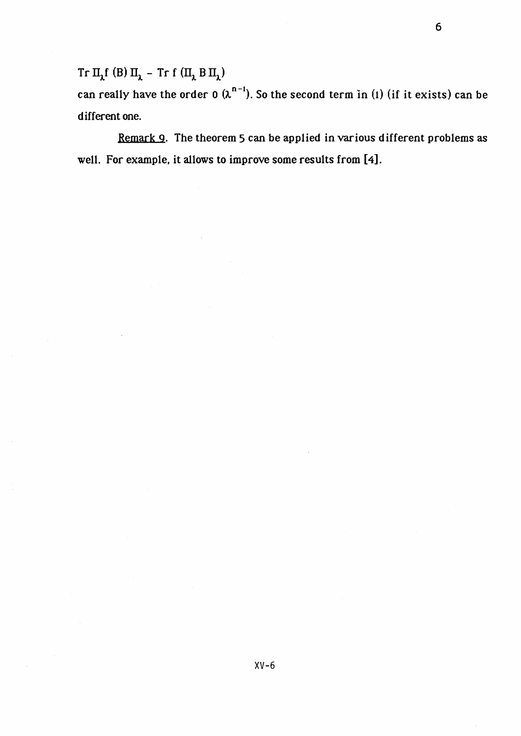${\rm Tr}\,\Pi_{\lambda}f$ (B) $\Pi_{\lambda}$  – Trf $(\Pi_{\lambda}B\,\Pi_{\lambda})$ 

can really have the order 0  $(\lambda^{n-1})$ . So the second term in (1) (if it exists) can be different one.

Remark Q. The theorem 5 can be applied in various different problems as well. For example, it allows to improve some results from [4].

6